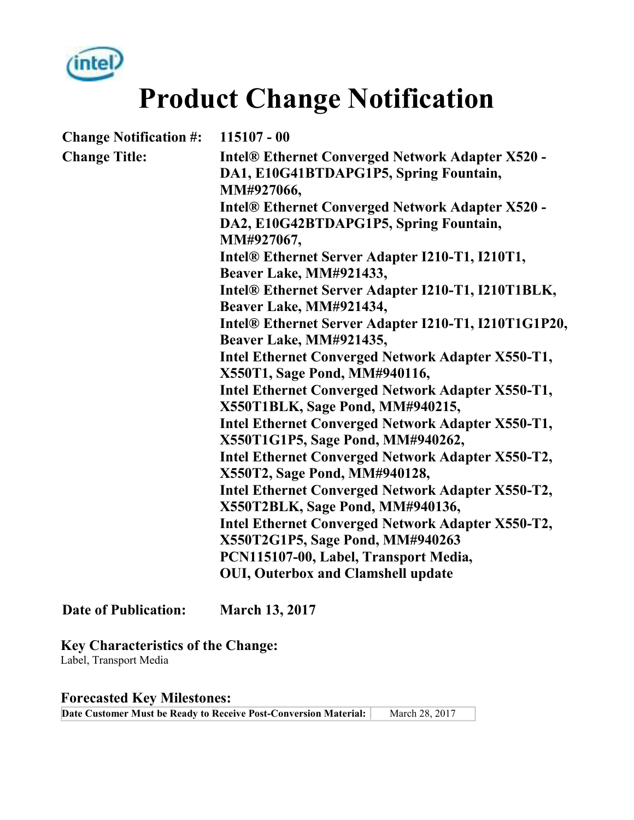

**Product Change Notification** 

| <b>Change Notification #:</b> | $115107 - 00$                                                                                                   |  |  |  |
|-------------------------------|-----------------------------------------------------------------------------------------------------------------|--|--|--|
| <b>Change Title:</b>          | <b>Intel® Ethernet Converged Network Adapter X520 -</b><br>DA1, E10G41BTDAPG1P5, Spring Fountain,<br>MM#927066, |  |  |  |
|                               | <b>Intel® Ethernet Converged Network Adapter X520 -</b><br>DA2, E10G42BTDAPG1P5, Spring Fountain,<br>MM#927067, |  |  |  |
|                               | Intel® Ethernet Server Adapter I210-T1, I210T1,<br>Beaver Lake, MM#921433,                                      |  |  |  |
|                               | Intel® Ethernet Server Adapter I210-T1, I210T1BLK,<br>Beaver Lake, MM#921434,                                   |  |  |  |
|                               | Intel® Ethernet Server Adapter I210-T1, I210T1G1P20,<br>Beaver Lake, MM#921435,                                 |  |  |  |
|                               | Intel Ethernet Converged Network Adapter X550-T1,<br>X550T1, Sage Pond, MM#940116,                              |  |  |  |
|                               | <b>Intel Ethernet Converged Network Adapter X550-T1,</b><br>X550T1BLK, Sage Pond, MM#940215,                    |  |  |  |
|                               | <b>Intel Ethernet Converged Network Adapter X550-T1,</b><br>X550T1G1P5, Sage Pond, MM#940262,                   |  |  |  |
|                               | Intel Ethernet Converged Network Adapter X550-T2,<br>X550T2, Sage Pond, MM#940128,                              |  |  |  |
|                               | Intel Ethernet Converged Network Adapter X550-T2,<br>X550T2BLK, Sage Pond, MM#940136,                           |  |  |  |
|                               | Intel Ethernet Converged Network Adapter X550-T2,<br>X550T2G1P5, Sage Pond, MM#940263                           |  |  |  |
|                               | PCN115107-00, Label, Transport Media,                                                                           |  |  |  |
|                               | <b>OUI, Outerbox and Clamshell update</b>                                                                       |  |  |  |
| <b>Date of Publication:</b>   | <b>March 13, 2017</b>                                                                                           |  |  |  |

**Key Characteristics of the Change:** Label, Transport Media

**Forecasted Key Milestones: Date Customer Must be Ready to Receive Post-Conversion Material:** March 28, 2017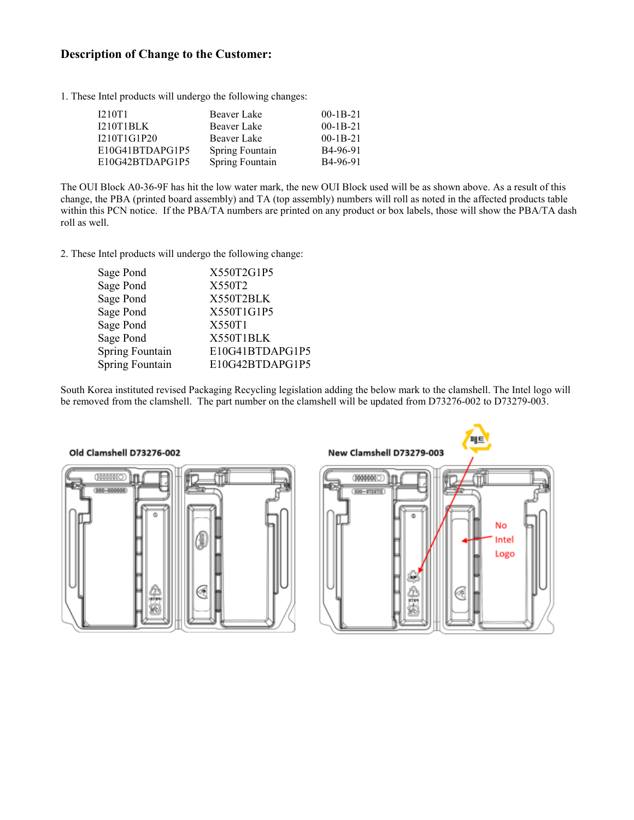## **Description of Change to the Customer:**

1. These Intel products will undergo the following changes:

| I210T1          | Beaver Lake     | $00-1B-21$            |
|-----------------|-----------------|-----------------------|
| I210T1BLK       | Beaver Lake     | $00-1B-21$            |
| I210T1G1P20     | Beaver Lake     | $00-1B-21$            |
| E10G41BTDAPG1P5 | Spring Fountain | B <sub>4</sub> -96-91 |
| E10G42BTDAPG1P5 | Spring Fountain | B <sub>4</sub> -96-91 |

The OUI Block A0-36-9F has hit the low water mark, the new OUI Block used will be as shown above. As a result of this change, the PBA (printed board assembly) and TA (top assembly) numbers will roll as noted in the affected products table within this PCN notice. If the PBA/TA numbers are printed on any product or box labels, those will show the PBA/TA dash roll as well.

2. These Intel products will undergo the following change:

| Sage Pond<br>Sage Pond | X550T2G1P5<br>X550T2 |
|------------------------|----------------------|
| Sage Pond              | X550T2BLK            |
| Sage Pond              | X550T1G1P5           |
| Sage Pond              | X550T1               |
| Sage Pond              | X550T1BLK            |
| Spring Fountain        | E10G41BTDAPG1P5      |
| Spring Fountain        | E10G42BTDAPG1P5      |
|                        |                      |

South Korea instituted revised Packaging Recycling legislation adding the below mark to the clamshell. The Intel logo will be removed from the clamshell. The part number on the clamshell will be updated from D73276-002 to D73279-003.

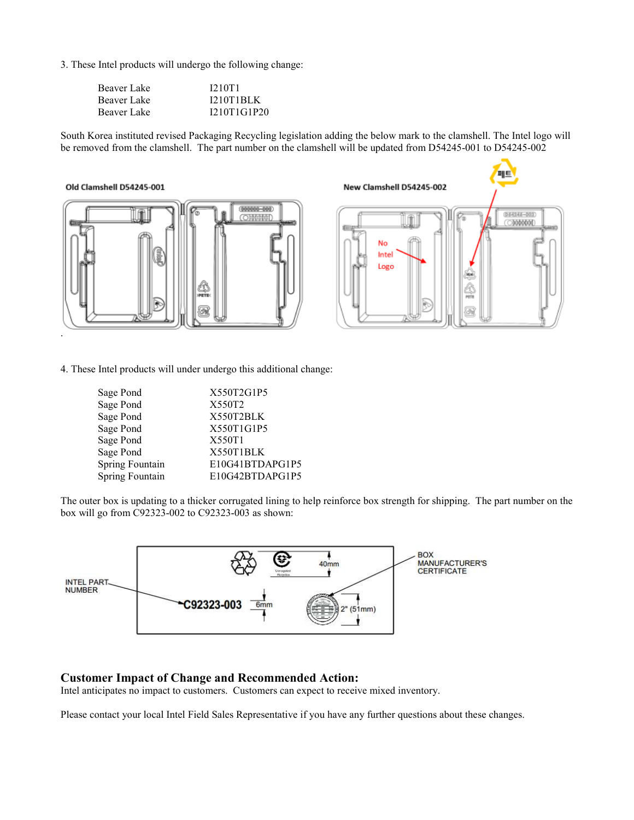3. These Intel products will undergo the following change:

| Beaver Lake | <b>I210T1</b>    |
|-------------|------------------|
| Beaver Lake | <b>I210T1BLK</b> |
| Beaver Lake | I210T1G1P20      |

South Korea instituted revised Packaging Recycling legislation adding the below mark to the clamshell. The Intel logo will be removed from the clamshell. The part number on the clamshell will be updated from D54245-001 to D54245-002

#### Old Clamshell D54245-001





4. These Intel products will under undergo this additional change:

| Sage Pond       | X550T2G1P5      |
|-----------------|-----------------|
| Sage Pond       | X550T2          |
| Sage Pond       | X550T2BLK       |
| Sage Pond       | X550T1G1P5      |
| Sage Pond       | X550T1          |
| Sage Pond       | X550T1BLK       |
| Spring Fountain | E10G41BTDAPG1P5 |
| Spring Fountain | E10G42BTDAPG1P5 |
|                 |                 |

The outer box is updating to a thicker corrugated lining to help reinforce box strength for shipping. The part number on the box will go from C92323-002 to C92323-003 as shown:



### **Customer Impact of Change and Recommended Action:**

Intel anticipates no impact to customers. Customers can expect to receive mixed inventory.

Please contact your local Intel Field Sales Representative if you have any further questions about these changes.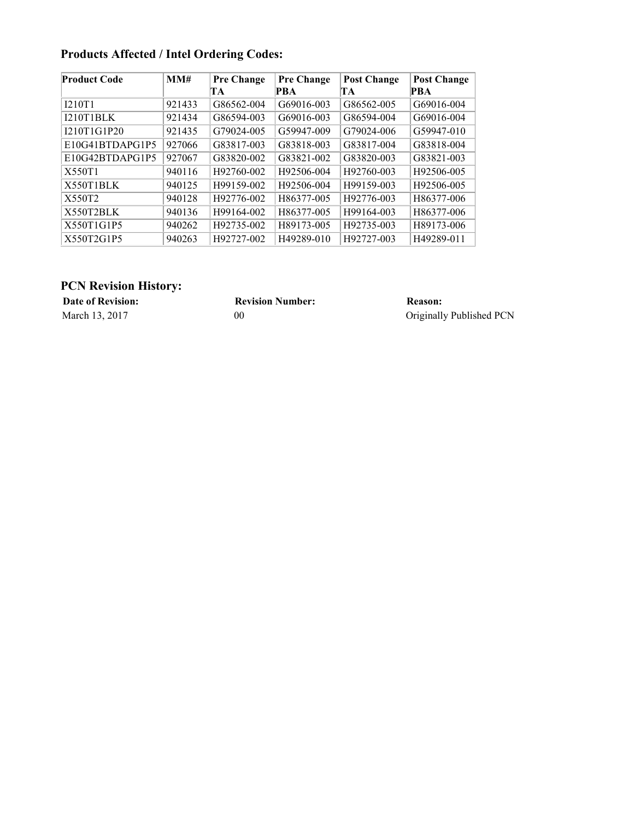| Product Code     | MM#    | <b>Pre Change</b> | <b>Pre Change</b> | <b>Post Change</b> | <b>Post Change</b> |
|------------------|--------|-------------------|-------------------|--------------------|--------------------|
|                  |        | TA                | PBA               | TA                 | PBA                |
| <b>I210T1</b>    | 921433 | G86562-004        | G69016-003        | G86562-005         | G69016-004         |
| <b>I210T1BLK</b> | 921434 | G86594-003        | G69016-003        | G86594-004         | G69016-004         |
| I210T1G1P20      | 921435 | G79024-005        | G59947-009        | G79024-006         | G59947-010         |
| E10G41BTDAPG1P5  | 927066 | G83817-003        | G83818-003        | G83817-004         | G83818-004         |
| E10G42BTDAPG1P5  | 927067 | G83820-002        | G83821-002        | G83820-003         | G83821-003         |
| X550T1           | 940116 | H92760-002        | H92506-004        | H92760-003         | H92506-005         |
| X550T1BLK        | 940125 | H99159-002        | H92506-004        | H99159-003         | H92506-005         |
| X550T2           | 940128 | H92776-002        | H86377-005        | H92776-003         | H86377-006         |
| X550T2BLK        | 940136 | H99164-002        | H86377-005        | H99164-003         | H86377-006         |
| X550T1G1P5       | 940262 | H92735-002        | H89173-005        | H92735-003         | H89173-006         |
| X550T2G1P5       | 940263 | H92727-002        | H49289-010        | H92727-003         | H49289-011         |

## **Products Affected / Intel Ordering Codes:**

## **PCN Revision History:**

**Date of Revision: Revision Number: Reason:**

March 13, 2017 00 00 Originally Published PCN